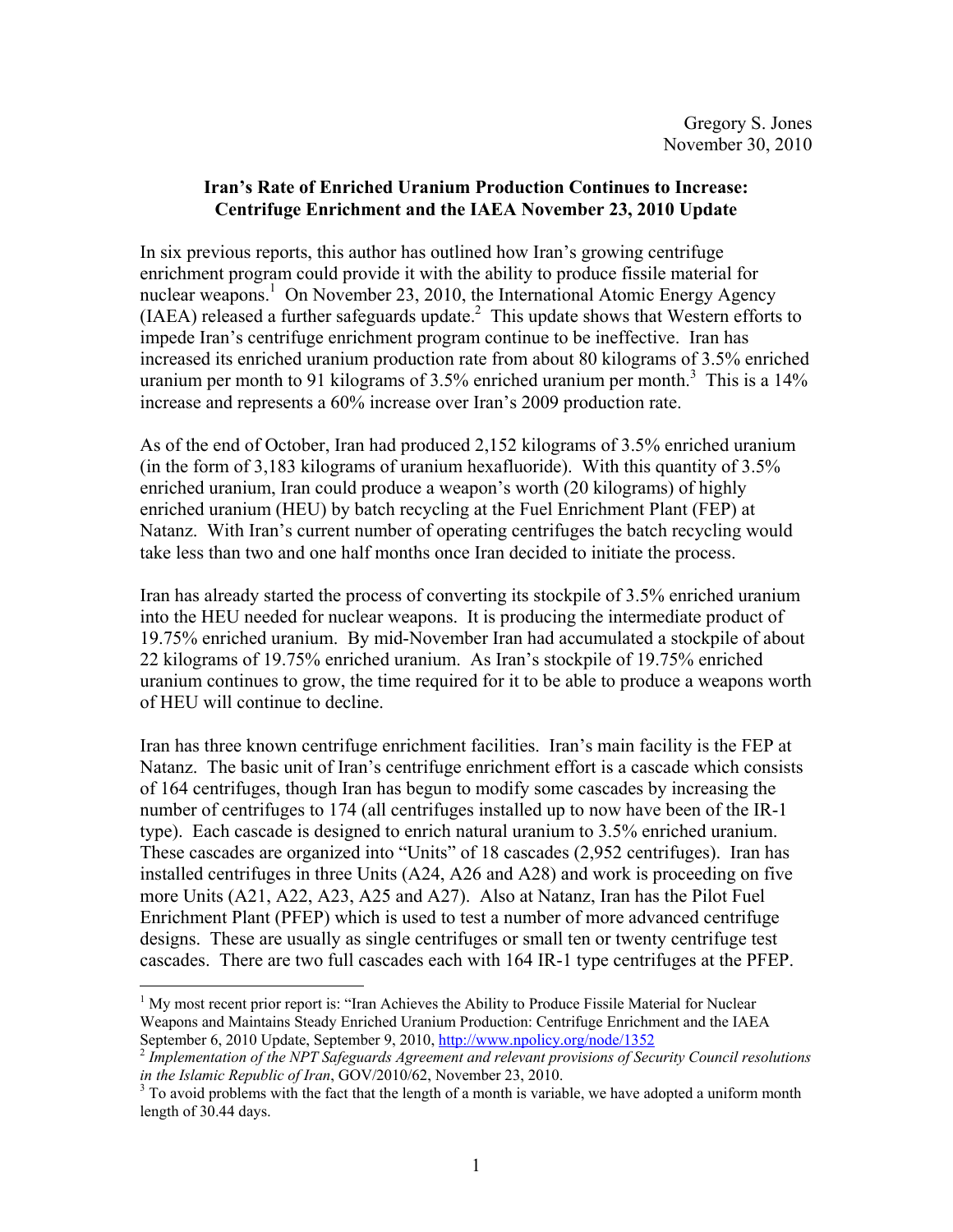## **Iran's Rate of Enriched Uranium Production Continues to Increase: Centrifuge Enrichment and the IAEA November 23, 2010 Update**

In six previous reports, this author has outlined how Iran's growing centrifuge enrichment program could provide it with the ability to produce fissile material for nuclear weapons.<sup>1</sup> On November 23, 2010, the International Atomic Energy Agency  $(IAEA)$  released a further safeguards update.<sup>2</sup> This update shows that Western efforts to impede Iran's centrifuge enrichment program continue to be ineffective. Iran has increased its enriched uranium production rate from about 80 kilograms of 3.5% enriched uranium per month to 91 kilograms of 3.5% enriched uranium per month.<sup>3</sup> This is a 14% increase and represents a 60% increase over Iran's 2009 production rate.

As of the end of October, Iran had produced 2,152 kilograms of 3.5% enriched uranium (in the form of 3,183 kilograms of uranium hexafluoride). With this quantity of 3.5% enriched uranium, Iran could produce a weapon's worth (20 kilograms) of highly enriched uranium (HEU) by batch recycling at the Fuel Enrichment Plant (FEP) at Natanz. With Iran's current number of operating centrifuges the batch recycling would take less than two and one half months once Iran decided to initiate the process.

Iran has already started the process of converting its stockpile of 3.5% enriched uranium into the HEU needed for nuclear weapons. It is producing the intermediate product of 19.75% enriched uranium. By mid-November Iran had accumulated a stockpile of about 22 kilograms of 19.75% enriched uranium. As Iran's stockpile of 19.75% enriched uranium continues to grow, the time required for it to be able to produce a weapons worth of HEU will continue to decline.

Iran has three known centrifuge enrichment facilities. Iran's main facility is the FEP at Natanz. The basic unit of Iran's centrifuge enrichment effort is a cascade which consists of 164 centrifuges, though Iran has begun to modify some cascades by increasing the number of centrifuges to 174 (all centrifuges installed up to now have been of the IR-1 type). Each cascade is designed to enrich natural uranium to 3.5% enriched uranium. These cascades are organized into "Units" of 18 cascades (2,952 centrifuges). Iran has installed centrifuges in three Units (A24, A26 and A28) and work is proceeding on five more Units (A21, A22, A23, A25 and A27). Also at Natanz, Iran has the Pilot Fuel Enrichment Plant (PFEP) which is used to test a number of more advanced centrifuge designs. These are usually as single centrifuges or small ten or twenty centrifuge test cascades. There are two full cascades each with 164 IR-1 type centrifuges at the PFEP.

 $\overline{a}$ 

<sup>&</sup>lt;sup>1</sup> My most recent prior report is: "Iran Achieves the Ability to Produce Fissile Material for Nuclear Weapons and Maintains Steady Enriched Uranium Production: Centrifuge Enrichment and the IAEA September 6, 2010 Update, September 9, 2010, http://www.npolicy.org/node/1352<br><sup>2</sup> *Implementation of the NPT Safeguards Agreement and relevant provisions of Security Council resolutions* 

*in the Islamic Republic of Iran, GOV/2010/62, November 23, 2010.* 

 $3$  To avoid problems with the fact that the length of a month is variable, we have adopted a uniform month length of 30.44 days.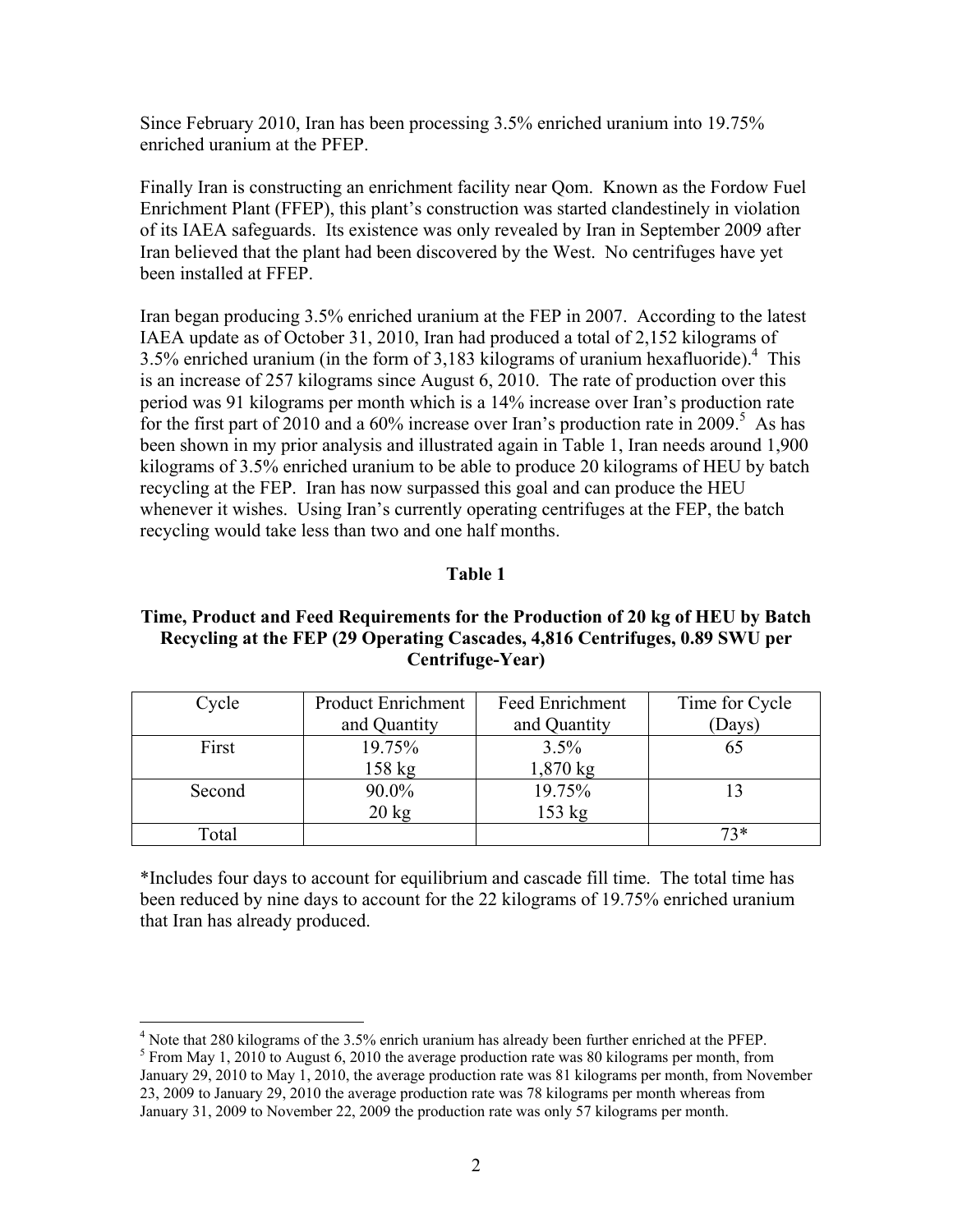Since February 2010, Iran has been processing 3.5% enriched uranium into 19.75% enriched uranium at the PFEP.

Finally Iran is constructing an enrichment facility near Qom. Known as the Fordow Fuel Enrichment Plant (FFEP), this plant's construction was started clandestinely in violation of its IAEA safeguards. Its existence was only revealed by Iran in September 2009 after Iran believed that the plant had been discovered by the West. No centrifuges have yet been installed at FFEP.

Iran began producing 3.5% enriched uranium at the FEP in 2007. According to the latest IAEA update as of October 31, 2010, Iran had produced a total of 2,152 kilograms of  $3.5\%$  enriched uranium (in the form of 3,183 kilograms of uranium hexafluoride).<sup>4</sup> This is an increase of 257 kilograms since August 6, 2010. The rate of production over this period was 91 kilograms per month which is a 14% increase over Iran's production rate for the first part of 2010 and a 60% increase over Iran's production rate in 2009.<sup>5</sup> As has been shown in my prior analysis and illustrated again in Table 1, Iran needs around 1,900 kilograms of 3.5% enriched uranium to be able to produce 20 kilograms of HEU by batch recycling at the FEP. Iran has now surpassed this goal and can produce the HEU whenever it wishes. Using Iran's currently operating centrifuges at the FEP, the batch recycling would take less than two and one half months.

## **Table 1**

# **Time, Product and Feed Requirements for the Production of 20 kg of HEU by Batch Recycling at the FEP (29 Operating Cascades, 4,816 Centrifuges, 0.89 SWU per Centrifuge-Year)**

| Cycle  | <b>Product Enrichment</b> | Feed Enrichment    | Time for Cycle |
|--------|---------------------------|--------------------|----------------|
|        | and Quantity              | and Quantity       | (Days)         |
| First  | 19.75%                    | 3.5%               |                |
|        | $158$ kg                  | $1,870 \text{ kg}$ |                |
| Second | 90.0%                     | 19.75%             |                |
|        | $20 \text{ kg}$           | 153 kg             |                |
| Total  |                           |                    | $73*$          |

\*Includes four days to account for equilibrium and cascade fill time. The total time has been reduced by nine days to account for the 22 kilograms of 19.75% enriched uranium that Iran has already produced.

 $\overline{a}$ 

<sup>&</sup>lt;sup>4</sup> Note that 280 kilograms of the 3.5% enrich uranium has already been further enriched at the PFEP.

 $5$  From May 1, 2010 to August 6, 2010 the average production rate was 80 kilograms per month, from January 29, 2010 to May 1, 2010, the average production rate was 81 kilograms per month, from November 23, 2009 to January 29, 2010 the average production rate was 78 kilograms per month whereas from January 31, 2009 to November 22, 2009 the production rate was only 57 kilograms per month.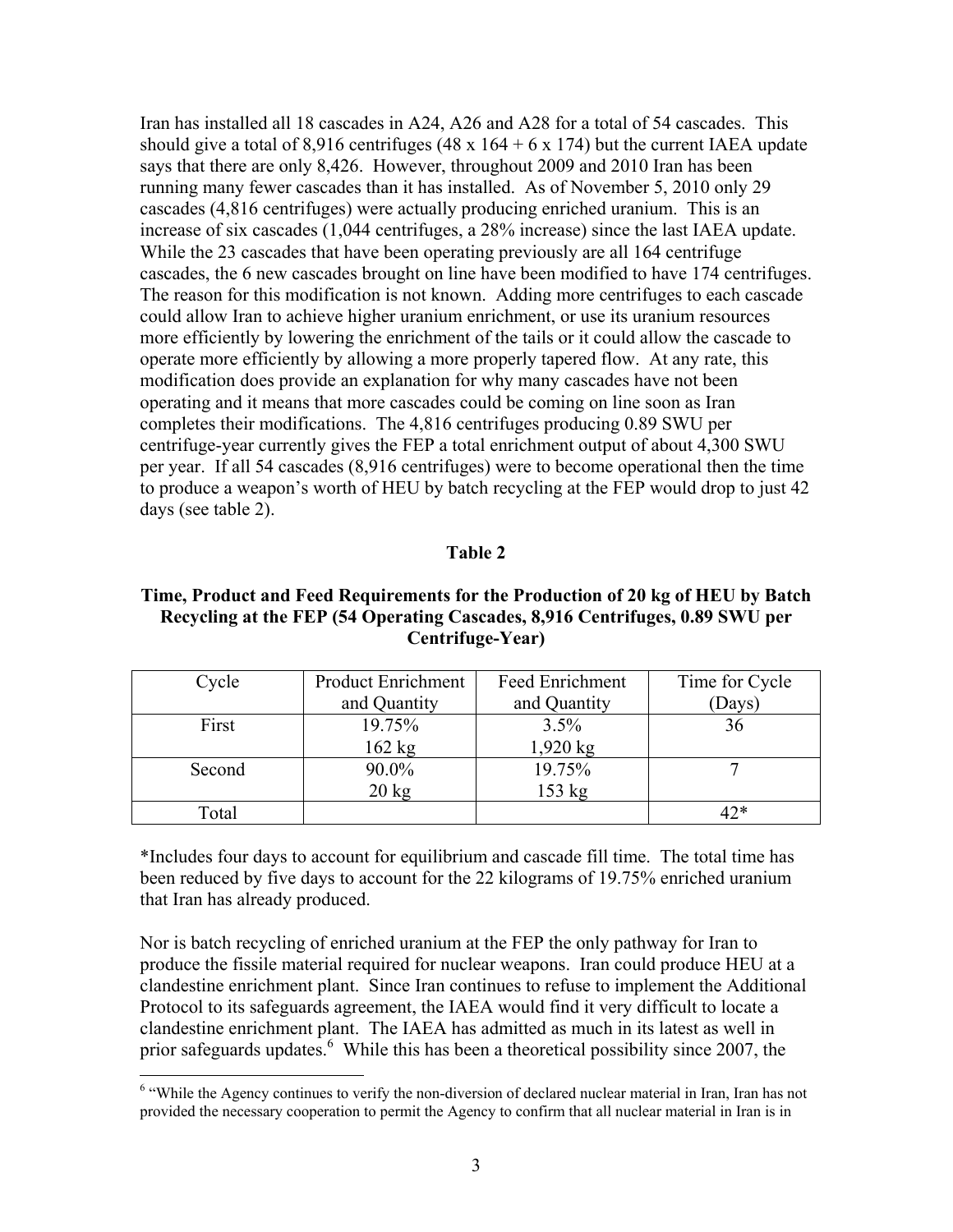Iran has installed all 18 cascades in A24, A26 and A28 for a total of 54 cascades. This should give a total of 8,916 centrifuges (48 x  $164 + 6$  x 174) but the current IAEA update says that there are only 8,426. However, throughout 2009 and 2010 Iran has been running many fewer cascades than it has installed. As of November 5, 2010 only 29 cascades (4,816 centrifuges) were actually producing enriched uranium. This is an increase of six cascades (1,044 centrifuges, a 28% increase) since the last IAEA update. While the 23 cascades that have been operating previously are all 164 centrifuge cascades, the 6 new cascades brought on line have been modified to have 174 centrifuges. The reason for this modification is not known. Adding more centrifuges to each cascade could allow Iran to achieve higher uranium enrichment, or use its uranium resources more efficiently by lowering the enrichment of the tails or it could allow the cascade to operate more efficiently by allowing a more properly tapered flow. At any rate, this modification does provide an explanation for why many cascades have not been operating and it means that more cascades could be coming on line soon as Iran completes their modifications. The 4,816 centrifuges producing 0.89 SWU per centrifuge-year currently gives the FEP a total enrichment output of about 4,300 SWU per year. If all 54 cascades (8,916 centrifuges) were to become operational then the time to produce a weapon's worth of HEU by batch recycling at the FEP would drop to just 42 days (see table 2).

#### **Table 2**

## **Time, Product and Feed Requirements for the Production of 20 kg of HEU by Batch Recycling at the FEP (54 Operating Cascades, 8,916 Centrifuges, 0.89 SWU per Centrifuge-Year)**

| Cycle  | <b>Product Enrichment</b> | Feed Enrichment | Time for Cycle |
|--------|---------------------------|-----------------|----------------|
|        | and Quantity              | and Quantity    | (Days)         |
| First  | 19.75%                    | 3.5%            | 36             |
|        | $162$ kg                  | $1,920$ kg      |                |
| Second | 90.0%                     | 19.75%          |                |
|        | $20 \text{ kg}$           | 153 kg          |                |
| Total  |                           |                 | 1つ*            |

\*Includes four days to account for equilibrium and cascade fill time. The total time has been reduced by five days to account for the 22 kilograms of 19.75% enriched uranium that Iran has already produced.

Nor is batch recycling of enriched uranium at the FEP the only pathway for Iran to produce the fissile material required for nuclear weapons. Iran could produce HEU at a clandestine enrichment plant. Since Iran continues to refuse to implement the Additional Protocol to its safeguards agreement, the IAEA would find it very difficult to locate a clandestine enrichment plant. The IAEA has admitted as much in its latest as well in prior safeguards updates. <sup>6</sup> While this has been a theoretical possibility since 2007, the

 $\overline{a}$ 

<sup>&</sup>lt;sup>6</sup> "While the Agency continues to verify the non-diversion of declared nuclear material in Iran, Iran has not provided the necessary cooperation to permit the Agency to confirm that all nuclear material in Iran is in